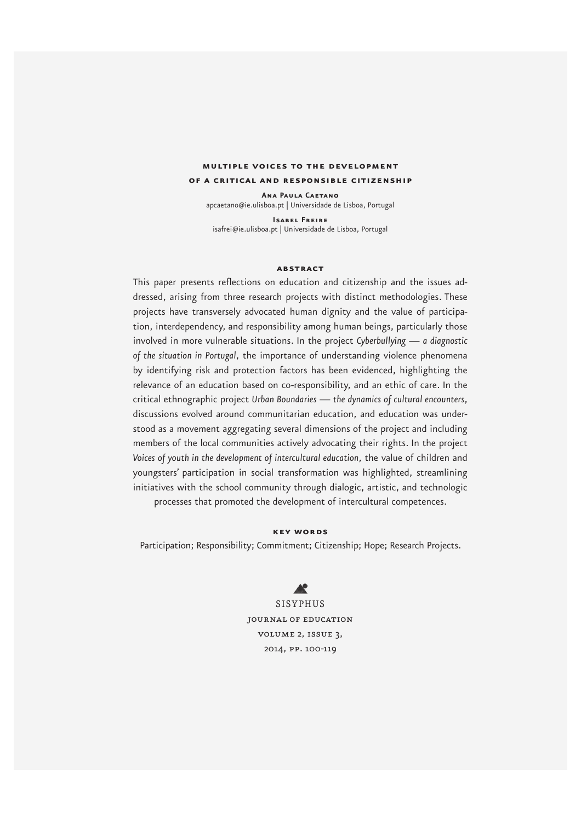## **multiple voices to the development of a critical and responsible citizenship**

**Ana Paula Caetano**  apcaetano@ie.ulisboa.pt | Universidade de Lisboa, Portugal

**Isabel Freire**  isafrei@ie.ulisboa.pt | Universidade de Lisboa, Portugal

#### **abstract**

This paper presents reflections on education and citizenship and the issues addressed, arising from three research projects with distinct methodologies. These projects have transversely advocated human dignity and the value of participation, interdependency, and responsibility among human beings, particularly those involved in more vulnerable situations. In the project *Cyberbullying — a diagnostic of the situation in Portugal*, the importance of understanding violence phenomena by identifying risk and protection factors has been evidenced, highlighting the relevance of an education based on co-responsibility, and an ethic of care. In the critical ethnographic project *Urban Boundaries — the dynamics of cultural encounters*, discussions evolved around communitarian education, and education was understood as a movement aggregating several dimensions of the project and including members of the local communities actively advocating their rights. In the project *Voices of youth in the development of intercultural education*, the value of children and youngsters' participation in social transformation was highlighted, streamlining initiatives with the school community through dialogic, artistic, and technologic processes that promoted the development of intercultural competences.

**key words**

Participation; Responsibility; Commitment; Citizenship; Hope; Research Projects.

 $\blacktriangle$ 

SISYPHUS journal of education volume 2, issue 3, 2014, pp. 100-119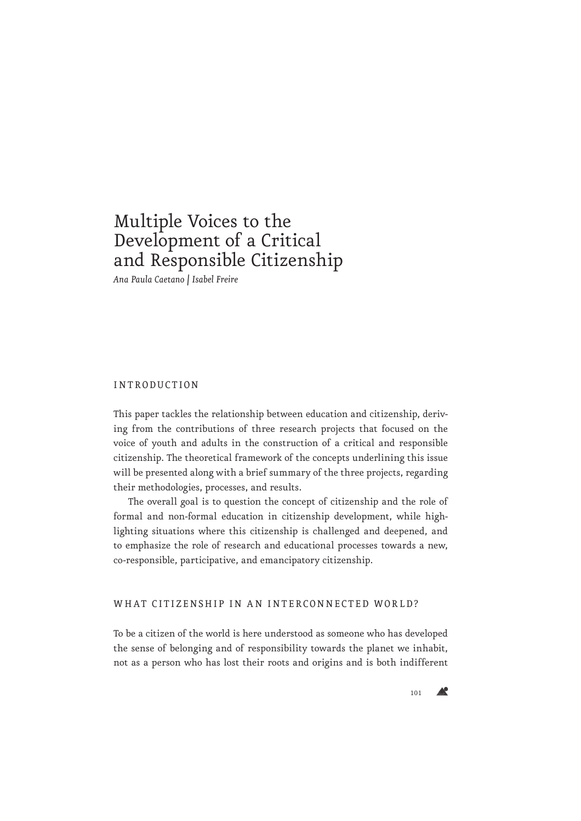# Multiple Voices to the Development of a Critical and Responsible Citizenship

*Ana Paula Caetano | Isabel Freire*

#### INTRODUCTION

This paper tackles the relationship between education and citizenship, deriving from the contributions of three research projects that focused on the voice of youth and adults in the construction of a critical and responsible citizenship. The theoretical framework of the concepts underlining this issue will be presented along with a brief summary of the three projects, regarding their methodologies, processes, and results.

The overall goal is to question the concept of citizenship and the role of formal and non-formal education in citizenship development, while highlighting situations where this citizenship is challenged and deepened, and to emphasize the role of research and educational processes towards a new, co-responsible, participative, and emancipatory citizenship.

#### WHAT CITIZENSHIP IN AN INTERCONNECTED WORLD?

To be a citizen of the world is here understood as someone who has developed the sense of belonging and of responsibility towards the planet we inhabit, not as a person who has lost their roots and origins and is both indifferent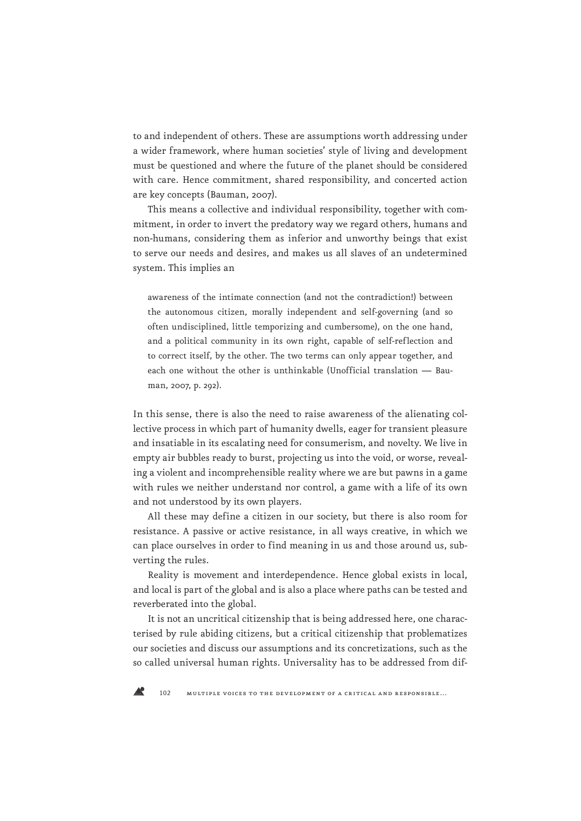to and independent of others. These are assumptions worth addressing under a wider framework, where human societies' style of living and development must be questioned and where the future of the planet should be considered with care. Hence commitment, shared responsibility, and concerted action are key concepts (Bauman, 2007).

This means a collective and individual responsibility, together with commitment, in order to invert the predatory way we regard others, humans and non-humans, considering them as inferior and unworthy beings that exist to serve our needs and desires, and makes us all slaves of an undetermined system. This implies an

awareness of the intimate connection (and not the contradiction!) between the autonomous citizen, morally independent and self-governing (and so often undisciplined, little temporizing and cumbersome), on the one hand, and a political community in its own right, capable of self-reflection and to correct itself, by the other. The two terms can only appear together, and each one without the other is unthinkable (Unofficial translation — Bauman, 2007, p. 292).

In this sense, there is also the need to raise awareness of the alienating collective process in which part of humanity dwells, eager for transient pleasure and insatiable in its escalating need for consumerism, and novelty. We live in empty air bubbles ready to burst, projecting us into the void, or worse, revealing a violent and incomprehensible reality where we are but pawns in a game with rules we neither understand nor control, a game with a life of its own and not understood by its own players.

All these may define a citizen in our society, but there is also room for resistance. A passive or active resistance, in all ways creative, in which we can place ourselves in order to find meaning in us and those around us, subverting the rules.

Reality is movement and interdependence. Hence global exists in local, and local is part of the global and is also a place where paths can be tested and reverberated into the global.

It is not an uncritical citizenship that is being addressed here, one characterised by rule abiding citizens, but a critical citizenship that problematizes our societies and discuss our assumptions and its concretizations, such as the so called universal human rights. Universality has to be addressed from dif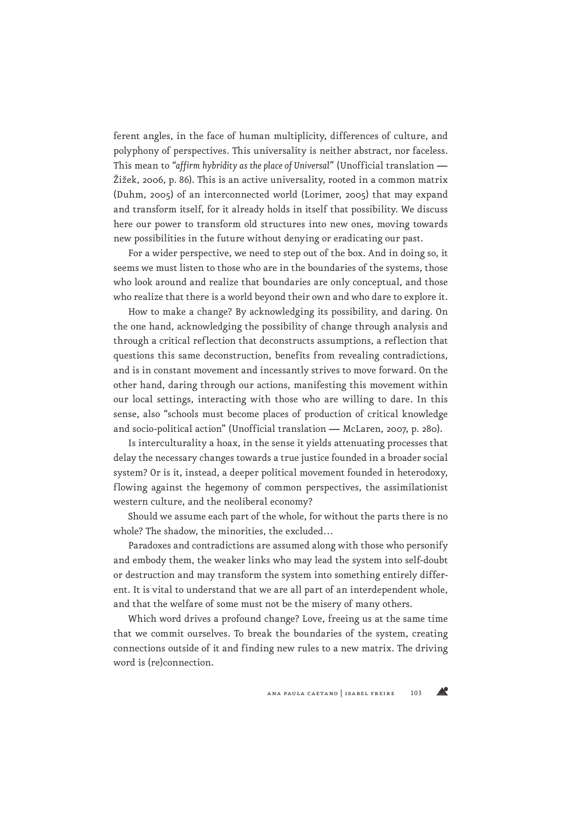ferent angles, in the face of human multiplicity, differences of culture, and polyphony of perspectives. This universality is neither abstract, nor faceless. This mean to "*affirm hybridity as the place of Universal*" (Unofficial translation — Žižek, 2006, p. 86). This is an active universality, rooted in a common matrix (Duhm, 2005) of an interconnected world (Lorimer, 2005) that may expand and transform itself, for it already holds in itself that possibility. We discuss here our power to transform old structures into new ones, moving towards new possibilities in the future without denying or eradicating our past.

For a wider perspective, we need to step out of the box. And in doing so, it seems we must listen to those who are in the boundaries of the systems, those who look around and realize that boundaries are only conceptual, and those who realize that there is a world beyond their own and who dare to explore it.

How to make a change? By acknowledging its possibility, and daring. On the one hand, acknowledging the possibility of change through analysis and through a critical reflection that deconstructs assumptions, a reflection that questions this same deconstruction, benefits from revealing contradictions, and is in constant movement and incessantly strives to move forward. On the other hand, daring through our actions, manifesting this movement within our local settings, interacting with those who are willing to dare. In this sense, also "schools must become places of production of critical knowledge and socio-political action" (Unofficial translation — McLaren, 2007, p. 280).

Is interculturality a hoax, in the sense it yields attenuating processes that delay the necessary changes towards a true justice founded in a broader social system? Or is it, instead, a deeper political movement founded in heterodoxy, flowing against the hegemony of common perspectives, the assimilationist western culture, and the neoliberal economy?

Should we assume each part of the whole, for without the parts there is no whole? The shadow, the minorities, the excluded…

Paradoxes and contradictions are assumed along with those who personify and embody them, the weaker links who may lead the system into self-doubt or destruction and may transform the system into something entirely different. It is vital to understand that we are all part of an interdependent whole, and that the welfare of some must not be the misery of many others.

Which word drives a profound change? Love, freeing us at the same time that we commit ourselves. To break the boundaries of the system, creating connections outside of it and finding new rules to a new matrix. The driving word is (re)connection.

 $\triangle^{\circ}$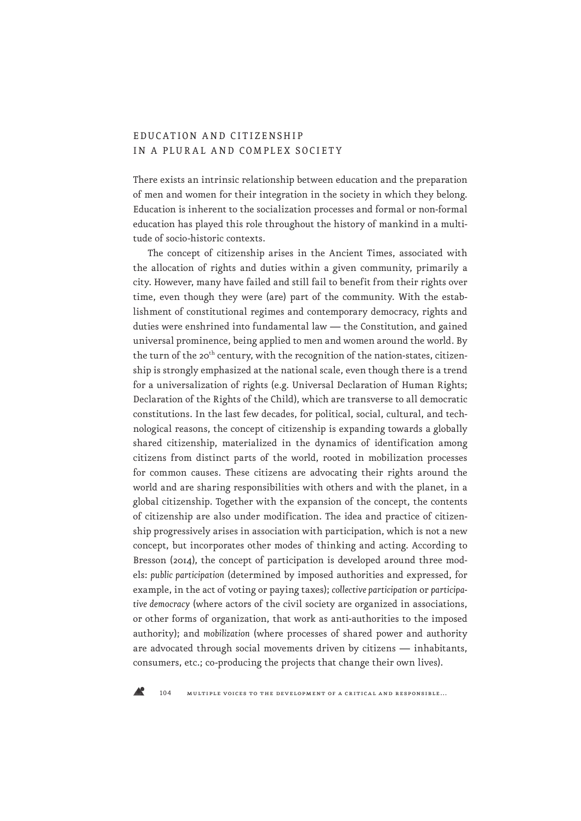## EDUC ATION A ND CITIZENSHIP IN A PLURAL AND COMPLEX SOCIETY

There exists an intrinsic relationship between education and the preparation of men and women for their integration in the society in which they belong. Education is inherent to the socialization processes and formal or non-formal education has played this role throughout the history of mankind in a multitude of socio-historic contexts.

The concept of citizenship arises in the Ancient Times, associated with the allocation of rights and duties within a given community, primarily a city. However, many have failed and still fail to benefit from their rights over time, even though they were (are) part of the community. With the establishment of constitutional regimes and contemporary democracy, rights and duties were enshrined into fundamental law — the Constitution, and gained universal prominence, being applied to men and women around the world. By the turn of the 20<sup>th</sup> century, with the recognition of the nation-states, citizenship is strongly emphasized at the national scale, even though there is a trend for a universalization of rights (e.g. Universal Declaration of Human Rights; Declaration of the Rights of the Child), which are transverse to all democratic constitutions. In the last few decades, for political, social, cultural, and technological reasons, the concept of citizenship is expanding towards a globally shared citizenship, materialized in the dynamics of identification among citizens from distinct parts of the world, rooted in mobilization processes for common causes. These citizens are advocating their rights around the world and are sharing responsibilities with others and with the planet, in a global citizenship. Together with the expansion of the concept, the contents of citizenship are also under modification. The idea and practice of citizenship progressively arises in association with participation, which is not a new concept, but incorporates other modes of thinking and acting. According to Bresson (2014), the concept of participation is developed around three models: *public participation* (determined by imposed authorities and expressed, for example, in the act of voting or paying taxes); *collective participation* or *participative democracy* (where actors of the civil society are organized in associations, or other forms of organization, that work as anti-authorities to the imposed authority); and *mobilization* (where processes of shared power and authority are advocated through social movements driven by citizens — inhabitants, consumers, etc.; co-producing the projects that change their own lives).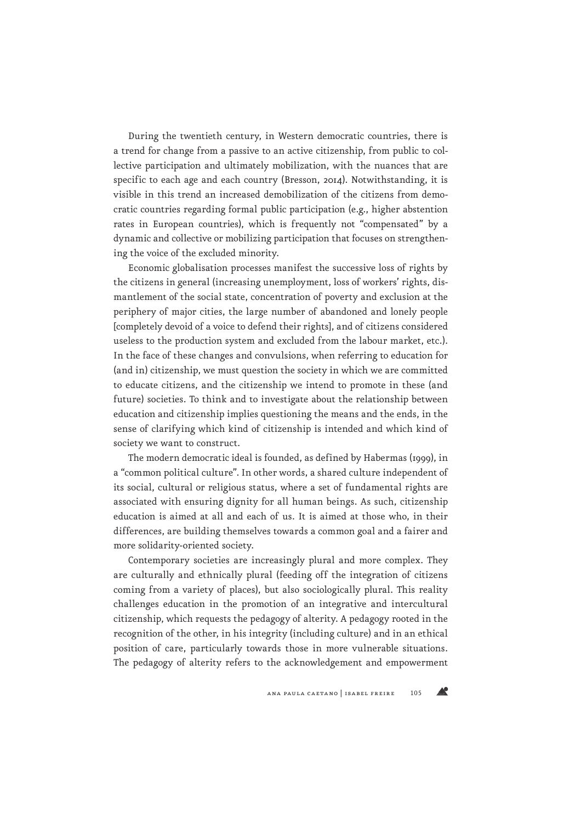During the twentieth century, in Western democratic countries, there is a trend for change from a passive to an active citizenship, from public to collective participation and ultimately mobilization, with the nuances that are specific to each age and each country (Bresson, 2014). Notwithstanding, it is visible in this trend an increased demobilization of the citizens from democratic countries regarding formal public participation (e.g., higher abstention rates in European countries), which is frequently not "compensated" by a dynamic and collective or mobilizing participation that focuses on strengthening the voice of the excluded minority.

Economic globalisation processes manifest the successive loss of rights by the citizens in general (increasing unemployment, loss of workers' rights, dismantlement of the social state, concentration of poverty and exclusion at the periphery of major cities, the large number of abandoned and lonely people [completely devoid of a voice to defend their rights], and of citizens considered useless to the production system and excluded from the labour market, etc.). In the face of these changes and convulsions, when referring to education for (and in) citizenship, we must question the society in which we are committed to educate citizens, and the citizenship we intend to promote in these (and future) societies. To think and to investigate about the relationship between education and citizenship implies questioning the means and the ends, in the sense of clarifying which kind of citizenship is intended and which kind of society we want to construct.

The modern democratic ideal is founded, as defined by Habermas (1999), in a "common political culture". In other words, a shared culture independent of its social, cultural or religious status, where a set of fundamental rights are associated with ensuring dignity for all human beings. As such, citizenship education is aimed at all and each of us. It is aimed at those who, in their differences, are building themselves towards a common goal and a fairer and more solidarity-oriented society.

Contemporary societies are increasingly plural and more complex. They are culturally and ethnically plural (feeding off the integration of citizens coming from a variety of places), but also sociologically plural. This reality challenges education in the promotion of an integrative and intercultural citizenship, which requests the pedagogy of alterity. A pedagogy rooted in the recognition of the other, in his integrity (including culture) and in an ethical position of care, particularly towards those in more vulnerable situations. The pedagogy of alterity refers to the acknowledgement and empowerment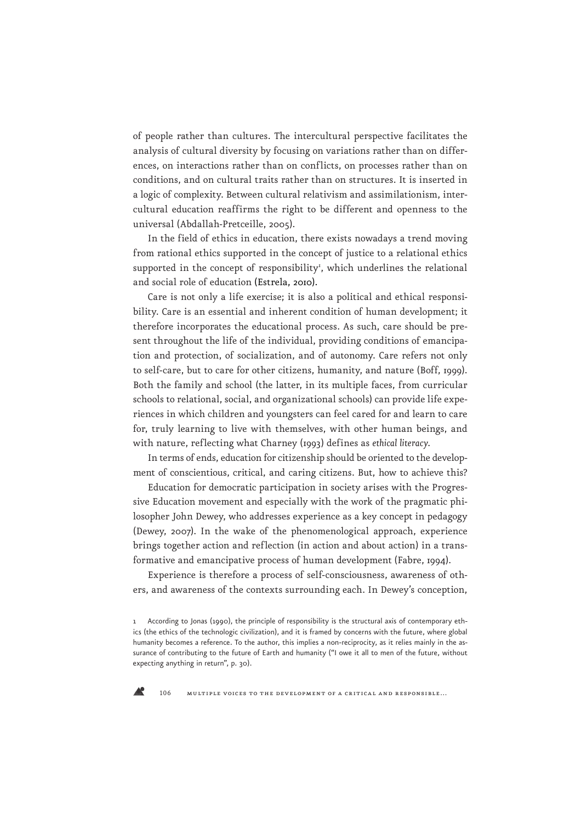of people rather than cultures. The intercultural perspective facilitates the analysis of cultural diversity by focusing on variations rather than on differences, on interactions rather than on conflicts, on processes rather than on conditions, and on cultural traits rather than on structures. It is inserted in a logic of complexity. Between cultural relativism and assimilationism, intercultural education reaffirms the right to be different and openness to the universal (Abdallah-Pretceille, 2005).

In the field of ethics in education, there exists nowadays a trend moving from rational ethics supported in the concept of justice to a relational ethics supported in the concept of responsibility', which underlines the relational and social role of education (Estrela, 2010).

Care is not only a life exercise; it is also a political and ethical responsibility. Care is an essential and inherent condition of human development; it therefore incorporates the educational process. As such, care should be present throughout the life of the individual, providing conditions of emancipation and protection, of socialization, and of autonomy. Care refers not only to self-care, but to care for other citizens, humanity, and nature (Boff, 1999). Both the family and school (the latter, in its multiple faces, from curricular schools to relational, social, and organizational schools) can provide life experiences in which children and youngsters can feel cared for and learn to care for, truly learning to live with themselves, with other human beings, and with nature, reflecting what Charney (1993) defines as *ethical literacy*.

In terms of ends, education for citizenship should be oriented to the development of conscientious, critical, and caring citizens. But, how to achieve this?

Education for democratic participation in society arises with the Progressive Education movement and especially with the work of the pragmatic philosopher John Dewey, who addresses experience as a key concept in pedagogy (Dewey, 2007). In the wake of the phenomenological approach, experience brings together action and reflection (in action and about action) in a transformative and emancipative process of human development (Fabre, 1994).

Experience is therefore a process of self-consciousness, awareness of others, and awareness of the contexts surrounding each. In Dewey's conception,



<sup>1</sup> According to Jonas (1990), the principle of responsibility is the structural axis of contemporary ethics (the ethics of the technologic civilization), and it is framed by concerns with the future, where global humanity becomes a reference. To the author, this implies a non-reciprocity, as it relies mainly in the assurance of contributing to the future of Earth and humanity ("I owe it all to men of the future, without expecting anything in return", p. 30).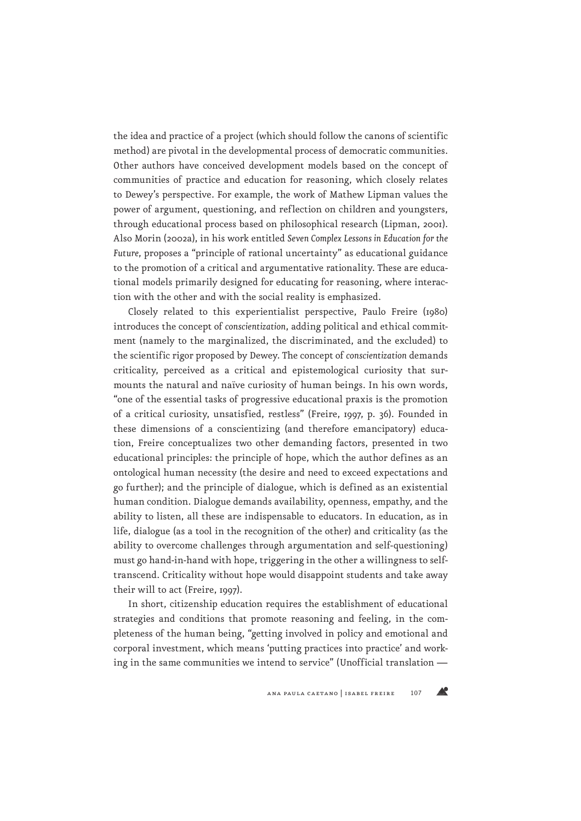the idea and practice of a project (which should follow the canons of scientific method) are pivotal in the developmental process of democratic communities. Other authors have conceived development models based on the concept of communities of practice and education for reasoning, which closely relates to Dewey's perspective. For example, the work of Mathew Lipman values the power of argument, questioning, and reflection on children and youngsters, through educational process based on philosophical research (Lipman, 2001). Also Morin (2002a), in his work entitled *Seven Complex Lessons in Education for the Future*, proposes a "principle of rational uncertainty" as educational guidance to the promotion of a critical and argumentative rationality. These are educational models primarily designed for educating for reasoning, where interaction with the other and with the social reality is emphasized.

Closely related to this experientialist perspective, Paulo Freire (1980) introduces the concept of *conscientization*, adding political and ethical commitment (namely to the marginalized, the discriminated, and the excluded) to the scientific rigor proposed by Dewey. The concept of *conscientization* demands criticality, perceived as a critical and epistemological curiosity that surmounts the natural and naïve curiosity of human beings. In his own words, "one of the essential tasks of progressive educational praxis is the promotion of a critical curiosity, unsatisfied, restless" (Freire, 1997, p. 36). Founded in these dimensions of a conscientizing (and therefore emancipatory) education, Freire conceptualizes two other demanding factors, presented in two educational principles: the principle of hope, which the author defines as an ontological human necessity (the desire and need to exceed expectations and go further); and the principle of dialogue, which is defined as an existential human condition. Dialogue demands availability, openness, empathy, and the ability to listen, all these are indispensable to educators. In education, as in life, dialogue (as a tool in the recognition of the other) and criticality (as the ability to overcome challenges through argumentation and self-questioning) must go hand-in-hand with hope, triggering in the other a willingness to selftranscend. Criticality without hope would disappoint students and take away their will to act (Freire, 1997).

In short, citizenship education requires the establishment of educational strategies and conditions that promote reasoning and feeling, in the completeness of the human being, "getting involved in policy and emotional and corporal investment, which means 'putting practices into practice' and working in the same communities we intend to service" (Unofficial translation —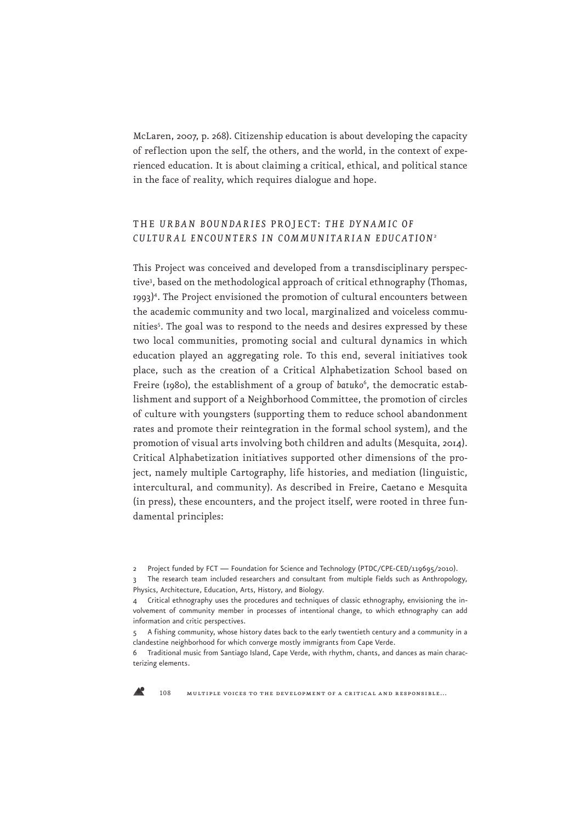McLaren, 2007, p. 268). Citizenship education is about developing the capacity of reflection upon the self, the others, and the world, in the context of experienced education. It is about claiming a critical, ethical, and political stance in the face of reality, which requires dialogue and hope.

## THE *URBAN BOUNDARIES* PROJECT: *T HE DY NA MIC OF CULTURAL ENCOUNTERS IN COMMUNITARIAN EDUCATION*<sup>2</sup>

This Project was conceived and developed from a transdisciplinary perspective3 , based on the methodological approach of critical ethnography (Thomas, 1993)<sup>4</sup>. The Project envisioned the promotion of cultural encounters between the academic community and two local, marginalized and voiceless communities<sup>5</sup>. The goal was to respond to the needs and desires expressed by these two local communities, promoting social and cultural dynamics in which education played an aggregating role. To this end, several initiatives took place, such as the creation of a Critical Alphabetization School based on Freire (1980), the establishment of a group of batuko<sup>6</sup>, the democratic establishment and support of a Neighborhood Committee, the promotion of circles of culture with youngsters (supporting them to reduce school abandonment rates and promote their reintegration in the formal school system), and the promotion of visual arts involving both children and adults (Mesquita, 2014). Critical Alphabetization initiatives supported other dimensions of the project, namely multiple Cartography, life histories, and mediation (linguistic, intercultural, and community). As described in Freire, Caetano e Mesquita (in press), these encounters, and the project itself, were rooted in three fundamental principles:



<sup>2</sup> Project funded by FCT — Foundation for Science and Technology (PTDC/CPE-CED/119695/2010).

The research team included researchers and consultant from multiple fields such as Anthropology, Physics, Architecture, Education, Arts, History, and Biology.

<sup>4</sup> Critical ethnography uses the procedures and techniques of classic ethnography, envisioning the involvement of community member in processes of intentional change, to which ethnography can add information and critic perspectives.

<sup>5</sup> A fishing community, whose history dates back to the early twentieth century and a community in a clandestine neighborhood for which converge mostly immigrants from Cape Verde.

<sup>6</sup> Traditional music from Santiago Island, Cape Verde, with rhythm, chants, and dances as main characterizing elements.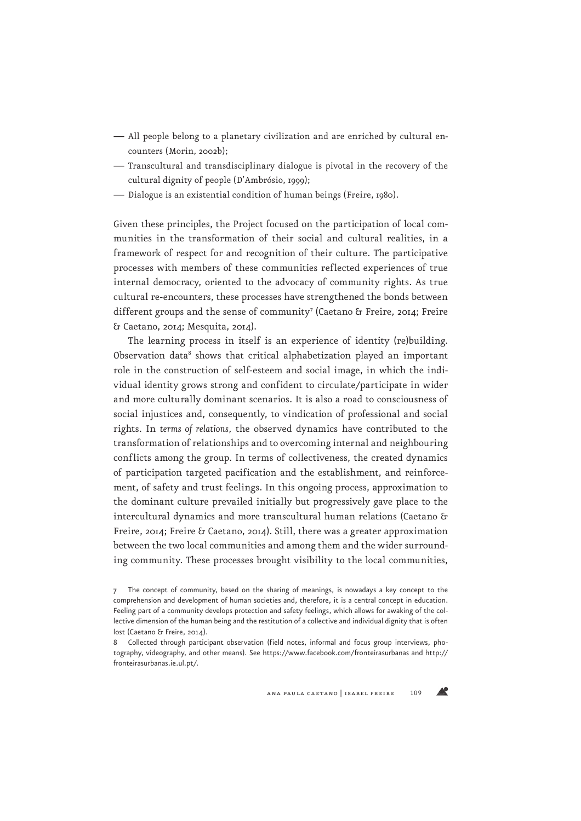- All people belong to a planetary civilization and are enriched by cultural encounters (Morin, 2002b);
- Transcultural and transdisciplinary dialogue is pivotal in the recovery of the cultural dignity of people (D'Ambrósio, 1999);
- Dialogue is an existential condition of human beings (Freire, 1980).

Given these principles, the Project focused on the participation of local communities in the transformation of their social and cultural realities, in a framework of respect for and recognition of their culture. The participative processes with members of these communities reflected experiences of true internal democracy, oriented to the advocacy of community rights. As true cultural re-encounters, these processes have strengthened the bonds between different groups and the sense of community<sup>7</sup> (Caetano & Freire, 2014; Freire & Caetano, 2014; Mesquita, 2014).

The learning process in itself is an experience of identity (re)building. Observation data<sup>8</sup> shows that critical alphabetization played an important role in the construction of self-esteem and social image, in which the individual identity grows strong and confident to circulate/participate in wider and more culturally dominant scenarios. It is also a road to consciousness of social injustices and, consequently, to vindication of professional and social rights. In *terms of relations*, the observed dynamics have contributed to the transformation of relationships and to overcoming internal and neighbouring conflicts among the group. In terms of collectiveness, the created dynamics of participation targeted pacification and the establishment, and reinforcement, of safety and trust feelings. In this ongoing process, approximation to the dominant culture prevailed initially but progressively gave place to the intercultural dynamics and more transcultural human relations (Caetano & Freire, 2014; Freire & Caetano, 2014). Still, there was a greater approximation between the two local communities and among them and the wider surrounding community. These processes brought visibility to the local communities,

ana paula caetano | isabel freire 109

Æ

<sup>7</sup> The concept of community, based on the sharing of meanings, is nowadays a key concept to the comprehension and development of human societies and, therefore, it is a central concept in education. Feeling part of a community develops protection and safety feelings, which allows for awaking of the collective dimension of the human being and the restitution of a collective and individual dignity that is often lost (Caetano & Freire, 2014).

<sup>8</sup> Collected through participant observation (field notes, informal and focus group interviews, photography, videography, and other means). See https://www.facebook.com/fronteirasurbanas and http:// fronteirasurbanas.ie.ul.pt/.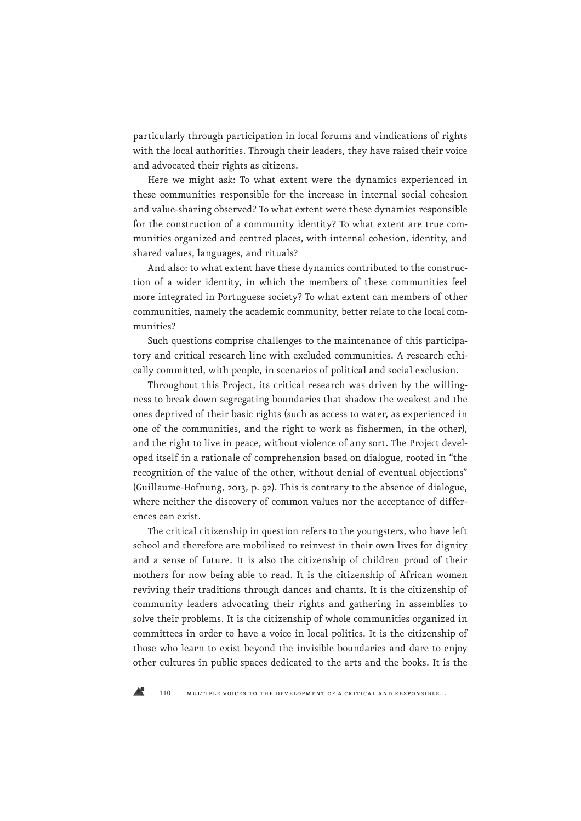particularly through participation in local forums and vindications of rights with the local authorities. Through their leaders, they have raised their voice and advocated their rights as citizens.

Here we might ask: To what extent were the dynamics experienced in these communities responsible for the increase in internal social cohesion and value-sharing observed? To what extent were these dynamics responsible for the construction of a community identity? To what extent are true communities organized and centred places, with internal cohesion, identity, and shared values, languages, and rituals?

And also: to what extent have these dynamics contributed to the construction of a wider identity, in which the members of these communities feel more integrated in Portuguese society? To what extent can members of other communities, namely the academic community, better relate to the local communities?

Such questions comprise challenges to the maintenance of this participatory and critical research line with excluded communities. A research ethically committed, with people, in scenarios of political and social exclusion.

Throughout this Project, its critical research was driven by the willingness to break down segregating boundaries that shadow the weakest and the ones deprived of their basic rights (such as access to water, as experienced in one of the communities, and the right to work as fishermen, in the other), and the right to live in peace, without violence of any sort. The Project developed itself in a rationale of comprehension based on dialogue, rooted in "the recognition of the value of the other, without denial of eventual objections" (Guillaume-Hofnung, 2013, p. 92). This is contrary to the absence of dialogue, where neither the discovery of common values nor the acceptance of differences can exist.

The critical citizenship in question refers to the youngsters, who have left school and therefore are mobilized to reinvest in their own lives for dignity and a sense of future. It is also the citizenship of children proud of their mothers for now being able to read. It is the citizenship of African women reviving their traditions through dances and chants. It is the citizenship of community leaders advocating their rights and gathering in assemblies to solve their problems. It is the citizenship of whole communities organized in committees in order to have a voice in local politics. It is the citizenship of those who learn to exist beyond the invisible boundaries and dare to enjoy other cultures in public spaces dedicated to the arts and the books. It is the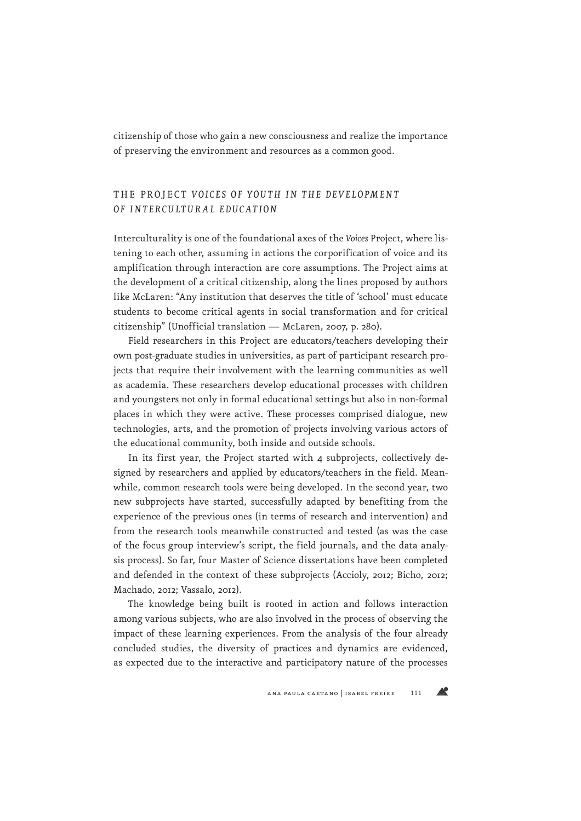citizenship of those who gain a new consciousness and realize the importance of preserving the environment and resources as a common good.

## THE PROJECT VOICES OF YOUTH IN THE DEVELOPMENT *OF INTERCULTURAL EDUCATION*

Interculturality is one of the foundational axes of the *Voices* Project, where listening to each other, assuming in actions the corporification of voice and its amplification through interaction are core assumptions. The Project aims at the development of a critical citizenship, along the lines proposed by authors like McLaren: "Any institution that deserves the title of 'school' must educate students to become critical agents in social transformation and for critical citizenship" (Unofficial translation — McLaren, 2007, p. 280).

Field researchers in this Project are educators/teachers developing their own post-graduate studies in universities, as part of participant research projects that require their involvement with the learning communities as well as academia. These researchers develop educational processes with children and youngsters not only in formal educational settings but also in non-formal places in which they were active. These processes comprised dialogue, new technologies, arts, and the promotion of projects involving various actors of the educational community, both inside and outside schools.

In its first year, the Project started with 4 subprojects, collectively designed by researchers and applied by educators/teachers in the field. Meanwhile, common research tools were being developed. In the second year, two new subprojects have started, successfully adapted by benefiting from the experience of the previous ones (in terms of research and intervention) and from the research tools meanwhile constructed and tested (as was the case of the focus group interview's script, the field journals, and the data analysis process). So far, four Master of Science dissertations have been completed and defended in the context of these subprojects (Accioly, 2012; Bicho, 2012; Machado, 2012; Vassalo, 2012).

The knowledge being built is rooted in action and follows interaction among various subjects, who are also involved in the process of observing the impact of these learning experiences. From the analysis of the four already concluded studies, the diversity of practices and dynamics are evidenced, as expected due to the interactive and participatory nature of the processes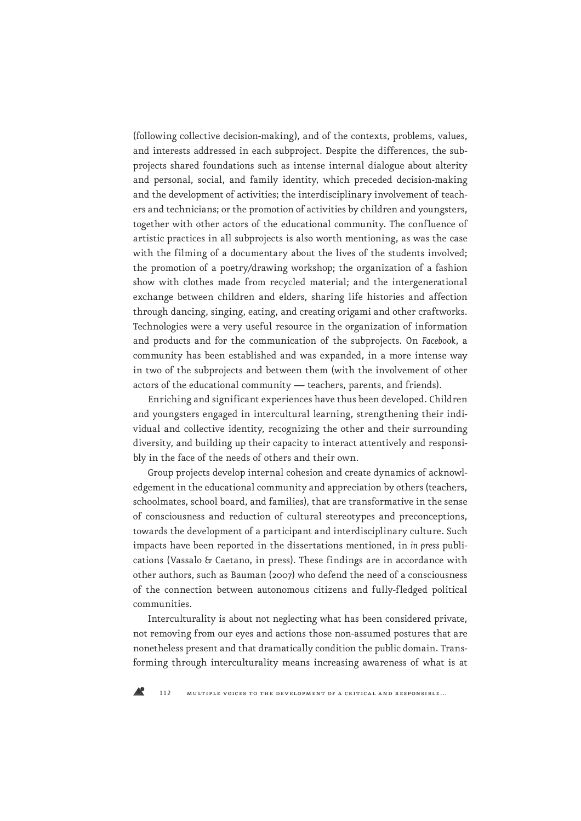(following collective decision-making), and of the contexts, problems, values, and interests addressed in each subproject. Despite the differences, the subprojects shared foundations such as intense internal dialogue about alterity and personal, social, and family identity, which preceded decision-making and the development of activities; the interdisciplinary involvement of teachers and technicians; or the promotion of activities by children and youngsters, together with other actors of the educational community. The confluence of artistic practices in all subprojects is also worth mentioning, as was the case with the filming of a documentary about the lives of the students involved; the promotion of a poetry/drawing workshop; the organization of a fashion show with clothes made from recycled material; and the intergenerational exchange between children and elders, sharing life histories and affection through dancing, singing, eating, and creating origami and other craftworks. Technologies were a very useful resource in the organization of information and products and for the communication of the subprojects. On *Facebook*, a community has been established and was expanded, in a more intense way in two of the subprojects and between them (with the involvement of other actors of the educational community — teachers, parents, and friends).

Enriching and significant experiences have thus been developed. Children and youngsters engaged in intercultural learning, strengthening their individual and collective identity, recognizing the other and their surrounding diversity, and building up their capacity to interact attentively and responsibly in the face of the needs of others and their own.

Group projects develop internal cohesion and create dynamics of acknowledgement in the educational community and appreciation by others (teachers, schoolmates, school board, and families), that are transformative in the sense of consciousness and reduction of cultural stereotypes and preconceptions, towards the development of a participant and interdisciplinary culture. Such impacts have been reported in the dissertations mentioned, in *in press* publications (Vassalo & Caetano, in press). These findings are in accordance with other authors, such as Bauman (2007) who defend the need of a consciousness of the connection between autonomous citizens and fully-fledged political communities.

Interculturality is about not neglecting what has been considered private, not removing from our eyes and actions those non-assumed postures that are nonetheless present and that dramatically condition the public domain. Transforming through interculturality means increasing awareness of what is at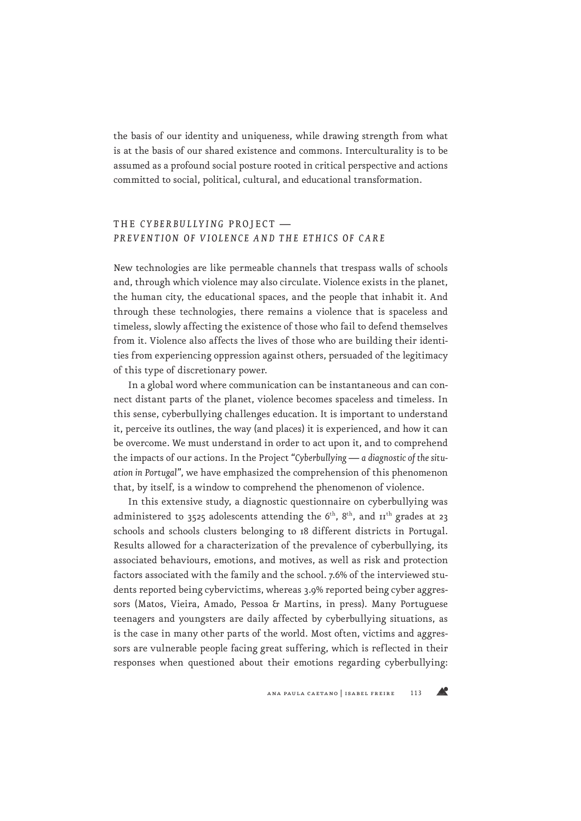the basis of our identity and uniqueness, while drawing strength from what is at the basis of our shared existence and commons. Interculturality is to be assumed as a profound social posture rooted in critical perspective and actions committed to social, political, cultural, and educational transformation.

## THE *CYBERBULLYING* PROJECT *— PREVENTION OF VIOLENCE AND THE ETHICS OF CARE*

New technologies are like permeable channels that trespass walls of schools and, through which violence may also circulate. Violence exists in the planet, the human city, the educational spaces, and the people that inhabit it. And through these technologies, there remains a violence that is spaceless and timeless, slowly affecting the existence of those who fail to defend themselves from it. Violence also affects the lives of those who are building their identities from experiencing oppression against others, persuaded of the legitimacy of this type of discretionary power.

In a global word where communication can be instantaneous and can connect distant parts of the planet, violence becomes spaceless and timeless. In this sense, cyberbullying challenges education. It is important to understand it, perceive its outlines, the way (and places) it is experienced, and how it can be overcome. We must understand in order to act upon it, and to comprehend the impacts of our actions. In the Project "*Cyberbullying — a diagnostic of the situation in Portugal*", we have emphasized the comprehension of this phenomenon that, by itself, is a window to comprehend the phenomenon of violence.

In this extensive study, a diagnostic questionnaire on cyberbullying was administered to 3525 adolescents attending the  $6<sup>th</sup>$ ,  $8<sup>th</sup>$ , and  $11<sup>th</sup>$  grades at 23 schools and schools clusters belonging to 18 different districts in Portugal. Results allowed for a characterization of the prevalence of cyberbullying, its associated behaviours, emotions, and motives, as well as risk and protection factors associated with the family and the school. 7.6% of the interviewed students reported being cybervictims, whereas 3.9% reported being cyber aggressors (Matos, Vieira, Amado, Pessoa & Martins, in press). Many Portuguese teenagers and youngsters are daily affected by cyberbullying situations, as is the case in many other parts of the world. Most often, victims and aggressors are vulnerable people facing great suffering, which is reflected in their responses when questioned about their emotions regarding cyberbullying: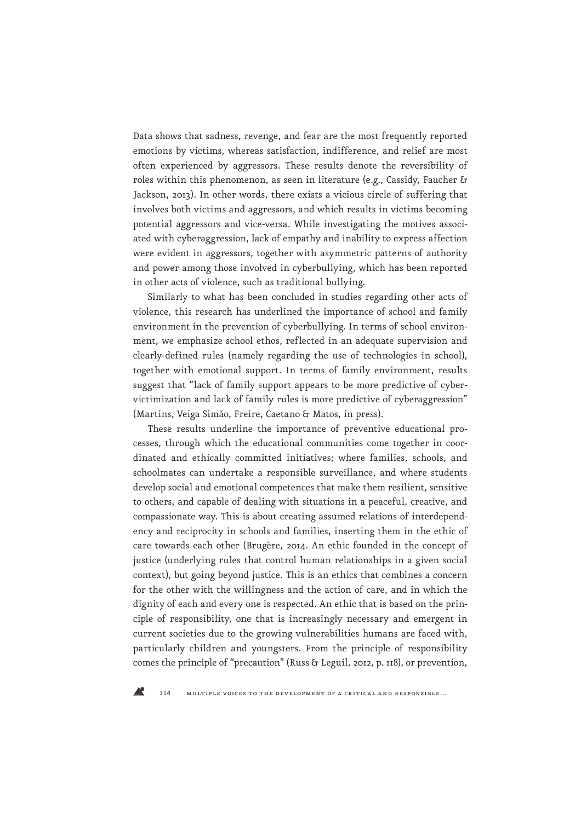Data shows that sadness, revenge, and fear are the most frequently reported emotions by victims, whereas satisfaction, indifference, and relief are most often experienced by aggressors. These results denote the reversibility of roles within this phenomenon, as seen in literature (e.g., Cassidy, Faucher & Jackson, 2013). In other words, there exists a vicious circle of suffering that involves both victims and aggressors, and which results in victims becoming potential aggressors and vice-versa. While investigating the motives associated with cyberaggression, lack of empathy and inability to express affection were evident in aggressors, together with asymmetric patterns of authority and power among those involved in cyberbullying, which has been reported in other acts of violence, such as traditional bullying.

Similarly to what has been concluded in studies regarding other acts of violence, this research has underlined the importance of school and family environment in the prevention of cyberbullying. In terms of school environment, we emphasize school ethos, reflected in an adequate supervision and clearly-defined rules (namely regarding the use of technologies in school), together with emotional support. In terms of family environment, results suggest that "lack of family support appears to be more predictive of cybervictimization and lack of family rules is more predictive of cyberaggression" (Martins, Veiga Simão, Freire, Caetano & Matos, in press).

These results underline the importance of preventive educational processes, through which the educational communities come together in coordinated and ethically committed initiatives; where families, schools, and schoolmates can undertake a responsible surveillance, and where students develop social and emotional competences that make them resilient, sensitive to others, and capable of dealing with situations in a peaceful, creative, and compassionate way. This is about creating assumed relations of interdependency and reciprocity in schools and families, inserting them in the ethic of care towards each other (Brugère, 2014. An ethic founded in the concept of justice (underlying rules that control human relationships in a given social context), but going beyond justice. This is an ethics that combines a concern for the other with the willingness and the action of care, and in which the dignity of each and every one is respected. An ethic that is based on the principle of responsibility, one that is increasingly necessary and emergent in current societies due to the growing vulnerabilities humans are faced with, particularly children and youngsters. From the principle of responsibility comes the principle of "precaution" (Russ & Leguil, 2012, p. 118), or prevention,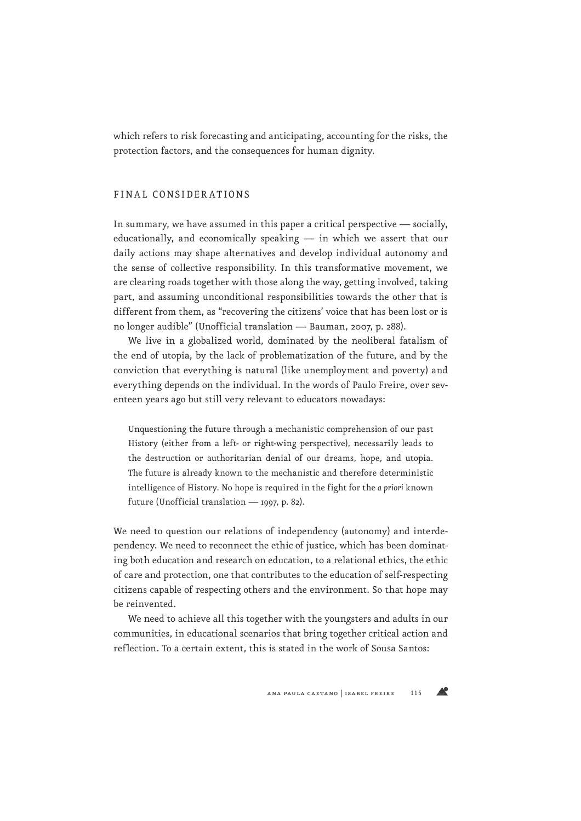which refers to risk forecasting and anticipating, accounting for the risks, the protection factors, and the consequences for human dignity.

#### FINAL CONSIDERATIONS

In summary, we have assumed in this paper a critical perspective — socially, educationally, and economically speaking — in which we assert that our daily actions may shape alternatives and develop individual autonomy and the sense of collective responsibility. In this transformative movement, we are clearing roads together with those along the way, getting involved, taking part, and assuming unconditional responsibilities towards the other that is different from them, as "recovering the citizens' voice that has been lost or is no longer audible" (Unofficial translation — Bauman, 2007, p. 288).

We live in a globalized world, dominated by the neoliberal fatalism of the end of utopia, by the lack of problematization of the future, and by the conviction that everything is natural (like unemployment and poverty) and everything depends on the individual. In the words of Paulo Freire, over seventeen years ago but still very relevant to educators nowadays:

Unquestioning the future through a mechanistic comprehension of our past History (either from a left- or right-wing perspective), necessarily leads to the destruction or authoritarian denial of our dreams, hope, and utopia. The future is already known to the mechanistic and therefore deterministic intelligence of History. No hope is required in the fight for the *a priori* known future (Unofficial translation — 1997, p. 82).

We need to question our relations of independency (autonomy) and interdependency. We need to reconnect the ethic of justice, which has been dominating both education and research on education, to a relational ethics, the ethic of care and protection, one that contributes to the education of self-respecting citizens capable of respecting others and the environment. So that hope may be reinvented.

We need to achieve all this together with the youngsters and adults in our communities, in educational scenarios that bring together critical action and reflection. To a certain extent, this is stated in the work of Sousa Santos:

**AP**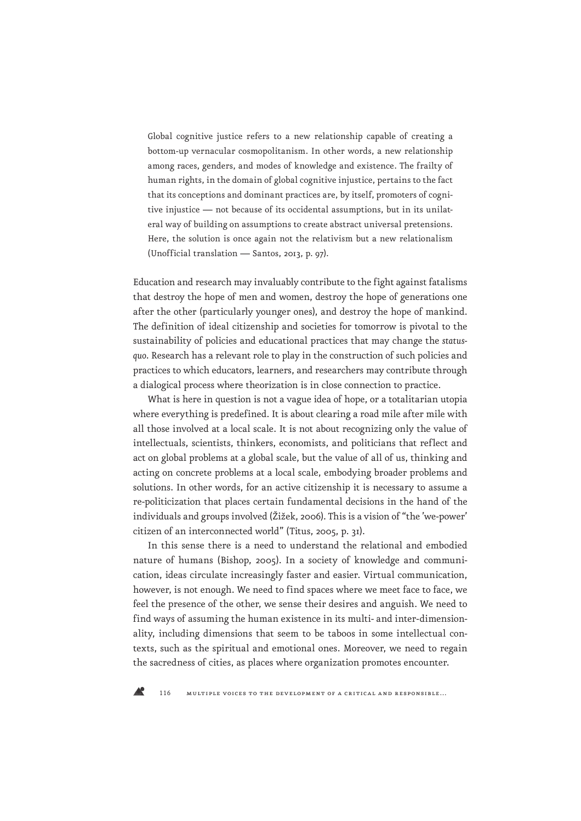Global cognitive justice refers to a new relationship capable of creating a bottom-up vernacular cosmopolitanism. In other words, a new relationship among races, genders, and modes of knowledge and existence. The frailty of human rights, in the domain of global cognitive injustice, pertains to the fact that its conceptions and dominant practices are, by itself, promoters of cognitive injustice — not because of its occidental assumptions, but in its unilateral way of building on assumptions to create abstract universal pretensions. Here, the solution is once again not the relativism but a new relationalism (Unofficial translation — Santos, 2013, p. 97).

Education and research may invaluably contribute to the fight against fatalisms that destroy the hope of men and women, destroy the hope of generations one after the other (particularly younger ones), and destroy the hope of mankind. The definition of ideal citizenship and societies for tomorrow is pivotal to the sustainability of policies and educational practices that may change the *statusquo*. Research has a relevant role to play in the construction of such policies and practices to which educators, learners, and researchers may contribute through a dialogical process where theorization is in close connection to practice.

What is here in question is not a vague idea of hope, or a totalitarian utopia where everything is predefined. It is about clearing a road mile after mile with all those involved at a local scale. It is not about recognizing only the value of intellectuals, scientists, thinkers, economists, and politicians that reflect and act on global problems at a global scale, but the value of all of us, thinking and acting on concrete problems at a local scale, embodying broader problems and solutions. In other words, for an active citizenship it is necessary to assume a re-politicization that places certain fundamental decisions in the hand of the individuals and groups involved (Žižek, 2006). This is a vision of "the 'we-power' citizen of an interconnected world" (Titus, 2005, p. 31).

In this sense there is a need to understand the relational and embodied nature of humans (Bishop, 2005). In a society of knowledge and communication, ideas circulate increasingly faster and easier. Virtual communication, however, is not enough. We need to find spaces where we meet face to face, we feel the presence of the other, we sense their desires and anguish. We need to find ways of assuming the human existence in its multi- and inter-dimensionality, including dimensions that seem to be taboos in some intellectual contexts, such as the spiritual and emotional ones. Moreover, we need to regain the sacredness of cities, as places where organization promotes encounter.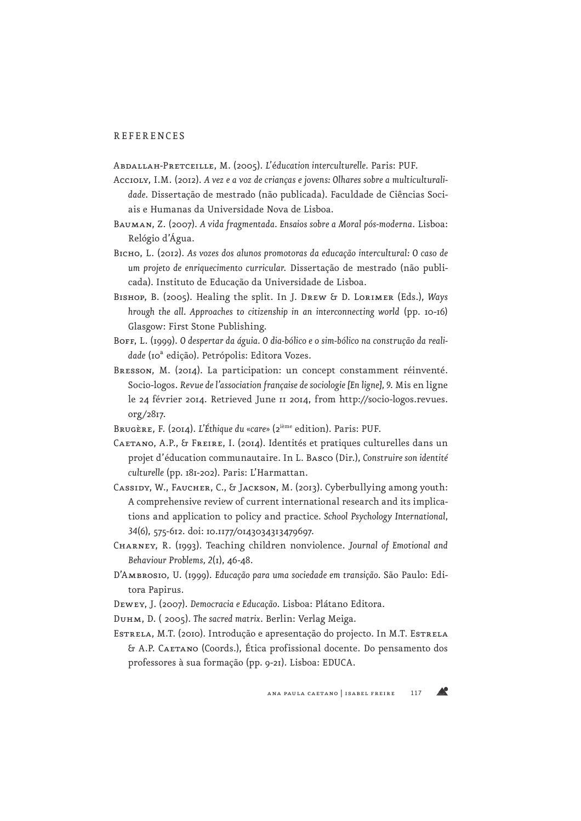#### REFERENCES

Abdallah-Pretceille, M. (2005). *L'*é*ducation interculturelle*. Paris: PUF.

- Accioly, I.M. (2012). A vez e a voz de crianças e jovens: Olhares sobre a multiculturali*dade*. Dissertação de mestrado (não publicada). Faculdade de Ciências Sociais e Humanas da Universidade Nova de Lisboa.
- Bauman, Z. (2007). *A vida fragmentada. Ensaios sobre a Moral pós-moderna*. Lisboa: Relógio d'Água.
- Bicho, L. (2012). *As vozes dos alunos promotoras da educação intercultural: O caso de um projeto de enriquecimento curricular*. Dissertação de mestrado (não publicada). Instituto de Educação da Universidade de Lisboa.
- Bishop, B. (2005). Healing the split. In J. Drew & D. Lorimer (Eds.), *Ways hrough the all. Approaches to citizenship in an interconnecting world* (pp. 10-16) Glasgow: First Stone Publishing.
- BOFF, L. (1999). O despertar da águia. O dia-bólico e o sim-bólico na construção da reali*dade* (10ª edição). Petrópolis: Editora Vozes.
- Bresson, M. (2014). La participation: un concept constamment réinventé. Socio-logos. *Revue de l'association française de sociologie [En ligne], 9*. Mis en ligne le 24 février 2014. Retrieved June 11 2014, from http://socio-logos.revues. org/2817.
- Brugère, F. (2014). *L'Éthique du «care»* (2ième edition). Paris: PUF.
- CAETANO, A.P., & FREIRE, I. (2014). Identités et pratiques culturelles dans un projet d'éducation communautaire. In L. Basco (Dir.), *Construire son identité culturelle* (pp. 181-202). Paris: L'Harmattan.
- CASSIDY, W., FAUCHER, C., & JACKSON, M. (2013). Cyberbullying among youth: A comprehensive review of current international research and its implications and application to policy and practice*. School Psychology International, 34*(6), 575-612. doi: 10.1177/0143034313479697.
- Charney, R. (1993). Teaching children nonviolence. *Journal of Emotional and Behaviour Problems, 2*(1), 46-48.
- D'Ambrosio, U. (1999). *Educação para uma sociedade em transição*. São Paulo: Editora Papirus.
- Dewey, J. (2007). *Democracia e Educação*. Lisboa: Plátano Editora.
- Duhm, D. ( 2005). *The sacred matrix*. Berlin: Verlag Meiga.
- ESTRELA, M.T. (2010). Introdução e apresentação do projecto. In M.T. ESTRELA & A.P. Caetano (Coords.), Ética profissional docente. Do pensamento dos professores à sua formação (pp. 9-21). Lisboa: EDUCA.

**AP**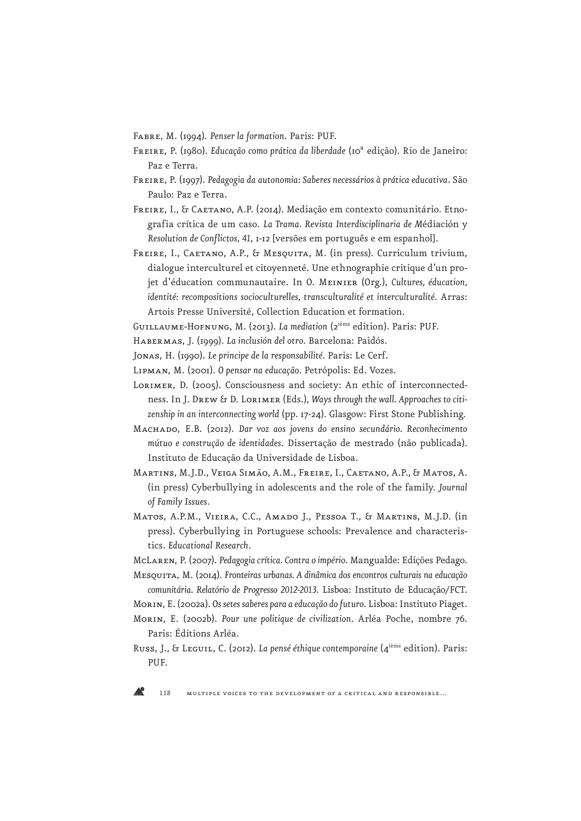Fabre, M. (1994). *Penser la formation*. Paris: PUF.

- Freire, P. (1980). *Educação como prática da liberdade* (10ª edição). Rio de Janeiro: Paz e Terra.
- Freire, P. (1997). *Pedagogia da autonomia: Saberes necessários à prática educativa*. São Paulo: Paz e Terra.
- FREIRE, I., & CAETANO, A.P. (2014). Mediação em contexto comunitário. Etnografia crítica de um caso. *La Trama. Revista Interdisciplinaria de M*édiación y *Resolution de Conflictos, 41*, 1-12 [versões em português e em espanhol].
- FREIRE, I., CAETANO, A.P., & MESQUITA, M. (in press). Curriculum trivium, dialogue interculturel et citoyenneté. Une ethnographie critique d'un projet d'éducation communautaire. In O. Meinier (Org.), *Cultures, éducation, identité: recompositions socioculturelles, transculturalité et interculturalité*. Arras: Artois Presse Université, Collection Education et formation.

Guillaume-Hofnung, M. (2013). *La mediation* (2ième edition). Paris: PUF.

Habermas, J. (1999). *La inclusión del otro*. Barcelona: Paidós.

Jonas, H. (1990). *Le principe de la responsabilité*. Paris: Le Cerf.

Lipman, M. (2001). *O pensar na educação*. Petrópolis: Ed. Vozes.

- Lorimer, D. (2005). Consciousness and society: An ethic of interconnectedness. In J. Drew & D. Lorimer (Eds.), *Ways through the wall. Approaches to citizenship in an interconnecting world* (pp. 17-24). Glasgow: First Stone Publishing.
- Machado, E.B. (2012). *Dar voz aos jovens do ensino secundário. Reconhecimento mútuo e construção de identidades*. Dissertação de mestrado (não publicada). Instituto de Educação da Universidade de Lisboa.
- Martins, M.J.D., Veiga Simão, A.M., Freire, I., Caetano, A.P., & Matos, A. (in press) Cyberbullying in adolescents and the role of the family. *Journal of Family Issues*.
- Matos, A.P.M., Vieira, C.C., Amado J., Pessoa T., & Martins, M.J.D. (in press). Cyberbullying in Portuguese schools: Prevalence and characteristics. *Educational Research*.
- McLaren, P. (2007). *Pedagogia crítica. Contra o império*. Mangualde: Edições Pedago.
- Mesquita, M. (2014). *Fronteiras urbanas. A dinâmica dos encontros culturais na educação comunitária. Relatório de Progresso 2012-2013*. Lisboa: Instituto de Educação/FCT.

Morin, E. (2002a). *Os setes saberes para a educação do futuro*. Lisboa: Instituto Piaget.

- Morin, E. (2002b). *Pour une politique de civilization*. Arléa Poche, nombre 76. Paris: Éditions Arléa.
- Russ, J., & Leguil, C. (2012). *La pensé éthique contemporaine* (4<sup>ième</sup> edition). Paris: PUF.

118 multiple voices to the development of a critical and responsible…